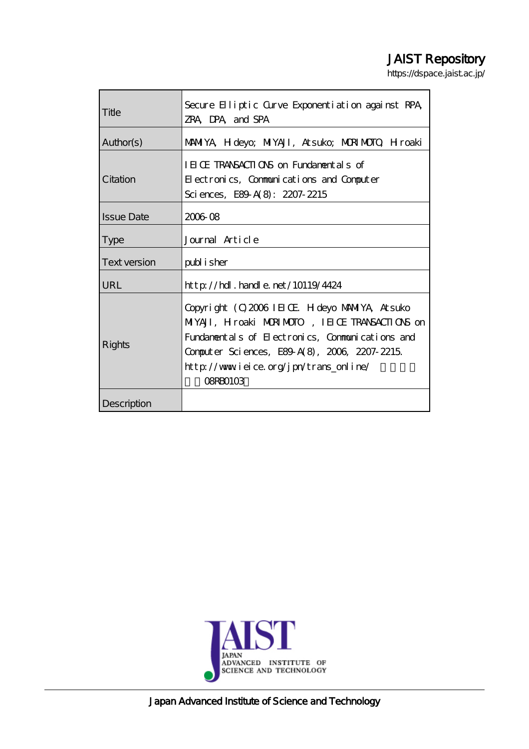# JAIST Repository

https://dspace.jaist.ac.jp/

| Title               | Secure Elliptic Curve Exponentiation against RPA,<br>ZRA DPA and SPA                                                                                                                                                                                              |
|---------------------|-------------------------------------------------------------------------------------------------------------------------------------------------------------------------------------------------------------------------------------------------------------------|
| Author(s)           | MANIYA, H deyo; MIYAJI, Atsuko; MDRIMOTO, H roaki                                                                                                                                                                                                                 |
| Citation            | IEICE TRANSACTIONS on Fundamentals of<br>Electronics, Communications and Computer<br>Sciences, E89-A(8): 2207-2215                                                                                                                                                |
| <b>Issue Date</b>   | 2006 08                                                                                                                                                                                                                                                           |
| <b>Type</b>         | Journal Article                                                                                                                                                                                                                                                   |
| <b>Text version</b> | publisher                                                                                                                                                                                                                                                         |
| <b>URL</b>          | $http$ // $hdl$ . handle. net/10119/4424                                                                                                                                                                                                                          |
| Rights              | Copyright (C) 2006 IEIOE H deyo MAMIYA, Atsuko<br>MIYAJI, Hroaki MORIMOTO, IEICE TRANSACTIONS on<br>Fundamentals of Electronics, Communications and<br>Computer Sciences, E89 A(8), 2006, 2207-2215.<br>http://www.ieice.org/jpn/trans_online/<br><b>OSRBO103</b> |
| Description         |                                                                                                                                                                                                                                                                   |



Japan Advanced Institute of Science and Technology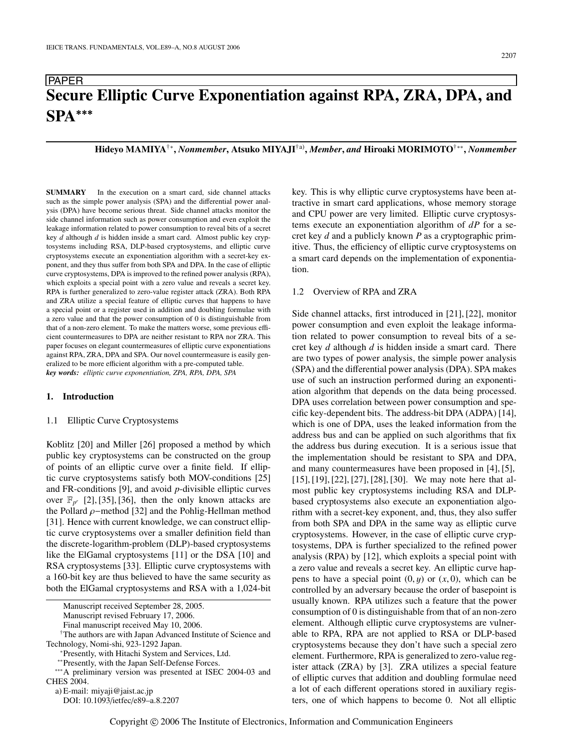## PAPER **Secure Elliptic Curve Exponentiation against RPA, ZRA, DPA, and SPA**∗∗∗

**Hideyo MAMIYA**†∗**,** *Nonmember***, Atsuko MIYAJI**†a)**,** *Member***,** *and* **Hiroaki MORIMOTO**†∗∗**,** *Nonmember*

**SUMMARY** In the execution on a smart card, side channel attacks such as the simple power analysis (SPA) and the differential power analysis (DPA) have become serious threat. Side channel attacks monitor the side channel information such as power consumption and even exploit the leakage information related to power consumption to reveal bits of a secret key *d* although *d* is hidden inside a smart card. Almost public key cryptosystems including RSA, DLP-based cryptosystems, and elliptic curve cryptosystems execute an exponentiation algorithm with a secret-key exponent, and they thus suffer from both SPA and DPA. In the case of elliptic curve cryptosystems, DPA is improved to the refined power analysis (RPA), which exploits a special point with a zero value and reveals a secret key. RPA is further generalized to zero-value register attack (ZRA). Both RPA and ZRA utilize a special feature of elliptic curves that happens to have a special point or a register used in addition and doubling formulae with a zero value and that the power consumption of 0 is distinguishable from that of a non-zero element. To make the matters worse, some previous efficient countermeasures to DPA are neither resistant to RPA nor ZRA. This paper focuses on elegant countermeasures of elliptic curve exponentiations against RPA, ZRA, DPA and SPA. Our novel countermeasure is easily generalized to be more efficient algorithm with a pre-computed table. *key words: elliptic curve exponentiation, ZPA, RPA, DPA, SPA*

## **1. Introduction**

#### 1.1 Elliptic Curve Cryptosystems

Koblitz [20] and Miller [26] proposed a method by which public key cryptosystems can be constructed on the group of points of an elliptic curve over a finite field. If elliptic curve cryptosystems satisfy both MOV-conditions [25] and FR-conditions [9], and avoid *p*-divisible elliptic curves over  $\mathbb{F}_{p^r}$  [2], [35], [36], then the only known attacks are the Pollard ρ−method [32] and the Pohlig-Hellman method [31]. Hence with current knowledge, we can construct elliptic curve cryptosystems over a smaller definition field than the discrete-logarithm-problem (DLP)-based cryptosystems like the ElGamal cryptosystems [11] or the DSA [10] and RSA cryptosystems [33]. Elliptic curve cryptosystems with a 160-bit key are thus believed to have the same security as both the ElGamal cryptosystems and RSA with a 1,024-bit

Manuscript revised February 17, 2006.

†The authors are with Japan Advanced Institute of Science and Technology, Nomi-shi, 923-1292 Japan.

\*Presently, with Hitachi System and Services, Ltd.<br>\*\*Presently, with the Japan Self-Defense Forces.

∗∗∗A preliminary version was presented at ISEC 2004-03 and CHES 2004.

a) E-mail: miyaji@jaist.ac.jp

DOI: 10.1093/ietfec/e89–a.8.2207

key. This is why elliptic curve cryptosystems have been attractive in smart card applications, whose memory storage and CPU power are very limited. Elliptic curve cryptosystems execute an exponentiation algorithm of *dP* for a secret key *d* and a publicly known *P* as a cryptographic primitive. Thus, the efficiency of elliptic curve cryptosystems on a smart card depends on the implementation of exponentiation.

## 1.2 Overview of RPA and ZRA

Side channel attacks, first introduced in [21], [22], monitor power consumption and even exploit the leakage information related to power consumption to reveal bits of a secret key *d* although *d* is hidden inside a smart card. There are two types of power analysis, the simple power analysis (SPA) and the differential power analysis (DPA). SPA makes use of such an instruction performed during an exponentiation algorithm that depends on the data being processed. DPA uses correlation between power consumption and specific key-dependent bits. The address-bit DPA (ADPA) [14], which is one of DPA, uses the leaked information from the address bus and can be applied on such algorithms that fix the address bus during execution. It is a serious issue that the implementation should be resistant to SPA and DPA, and many countermeasures have been proposed in [4], [5], [15], [19], [22], [27], [28], [30]. We may note here that almost public key cryptosystems including RSA and DLPbased cryptosystems also execute an exponentiation algorithm with a secret-key exponent, and, thus, they also suffer from both SPA and DPA in the same way as elliptic curve cryptosystems. However, in the case of elliptic curve cryptosystems, DPA is further specialized to the refined power analysis (RPA) by [12], which exploits a special point with a zero value and reveals a secret key. An elliptic curve happens to have a special point  $(0, y)$  or  $(x, 0)$ , which can be controlled by an adversary because the order of basepoint is usually known. RPA utilizes such a feature that the power consumption of 0 is distinguishable from that of an non-zero element. Although elliptic curve cryptosystems are vulnerable to RPA, RPA are not applied to RSA or DLP-based cryptosystems because they don't have such a special zero element. Furthermore, RPA is generalized to zero-value register attack (ZRA) by [3]. ZRA utilizes a special feature of elliptic curves that addition and doubling formulae need a lot of each different operations stored in auxiliary registers, one of which happens to become 0. Not all elliptic

Manuscript received September 28, 2005.

Final manuscript received May 10, 2006.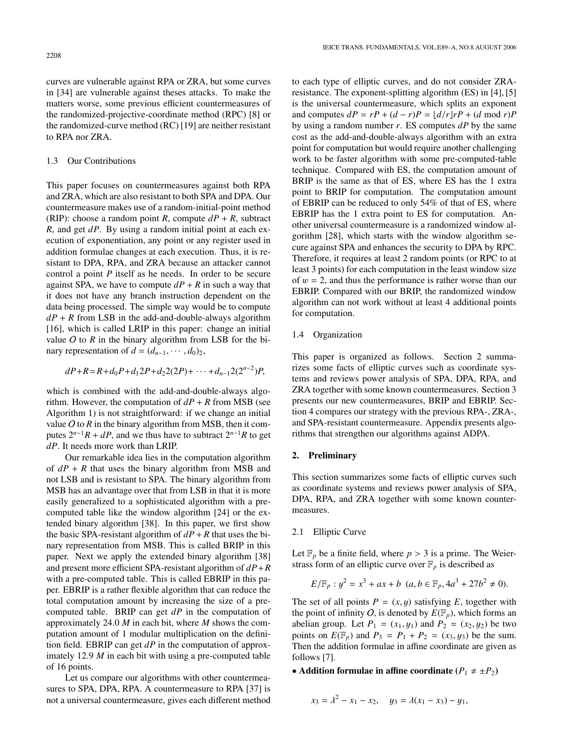curves are vulnerable against RPA or ZRA, but some curves in [34] are vulnerable against theses attacks. To make the matters worse, some previous efficient countermeasures of the randomized-projective-coordinate method (RPC) [8] or the randomized-curve method (RC) [19] are neither resistant to RPA nor ZRA.

## 1.3 Our Contributions

This paper focuses on countermeasures against both RPA and ZRA, which are also resistant to both SPA and DPA. Our countermeasure makes use of a random-initial-point method (RIP): choose a random point *R*, compute  $dP + R$ , subtract *R*, and get *dP*. By using a random initial point at each execution of exponentiation, any point or any register used in addition formulae changes at each execution. Thus, it is resistant to DPA, RPA, and ZRA because an attacker cannot control a point *P* itself as he needs. In order to be secure against SPA, we have to compute  $dP + R$  in such a way that it does not have any branch instruction dependent on the data being processed. The simple way would be to compute  $dP + R$  from LSB in the add-and-double-always algorithm [16], which is called LRIP in this paper: change an initial value  $O$  to  $R$  in the binary algorithm from LSB for the binary representation of  $d = (d_{n-1}, \cdots, d_0)_2$ ,

$$
dP+R=R+d_0P+d_12P+d_22(2P)+\cdots+d_{n-1}2(2^{n-2})P,
$$

which is combined with the add-and-double-always algorithm. However, the computation of  $dP + R$  from MSB (see Algorithm 1) is not straightforward: if we change an initial value  $O$  to  $R$  in the binary algorithm from MSB, then it computes  $2^{n-1}R + dP$ , and we thus have to subtract  $2^{n-1}R$  to get *dP*. It needs more work than LRIP.

Our remarkable idea lies in the computation algorithm of  $dP + R$  that uses the binary algorithm from MSB and not LSB and is resistant to SPA. The binary algorithm from MSB has an advantage over that from LSB in that it is more easily generalized to a sophisticated algorithm with a precomputed table like the window algorithm [24] or the extended binary algorithm [38]. In this paper, we first show the basic SPA-resistant algorithm of  $dP + R$  that uses the binary representation from MSB. This is called BRIP in this paper. Next we apply the extended binary algorithm [38] and present more efficient SPA-resistant algorithm of *dP*+*R* with a pre-computed table. This is called EBRIP in this paper. EBRIP is a rather flexible algorithm that can reduce the total computation amount by increasing the size of a precomputed table. BRIP can get *dP* in the computation of approximately 24.0 *M* in each bit, where *M* shows the computation amount of 1 modular multiplication on the definition field. EBRIP can get *dP* in the computation of approximately 12.9 *M* in each bit with using a pre-computed table of 16 points.

Let us compare our algorithms with other countermeasures to SPA, DPA, RPA. A countermeasure to RPA [37] is not a universal countermeasure, gives each different method to each type of elliptic curves, and do not consider ZRAresistance. The exponent-splitting algorithm (ES) in [4], [5] is the universal countermeasure, which splits an exponent and computes  $dP = rP + (d - r)P = \frac{d}{rP + d}$  (*d* mod *r*)*P* by using a random number *r*. ES computes *dP* by the same cost as the add-and-double-always algorithm with an extra point for computation but would require another challenging work to be faster algorithm with some pre-computed-table technique. Compared with ES, the computation amount of BRIP is the same as that of ES, where ES has the 1 extra point to BRIP for computation. The computation amount of EBRIP can be reduced to only 54% of that of ES, where EBRIP has the 1 extra point to ES for computation. Another universal countermeasure is a randomized window algorithm [28], which starts with the window algorithm secure against SPA and enhances the security to DPA by RPC. Therefore, it requires at least 2 random points (or RPC to at least 3 points) for each computation in the least window size of  $w = 2$ , and thus the performance is rather worse than our EBRIP. Compared with our BRIP, the randomized window algorithm can not work without at least 4 additional points for computation.

## 1.4 Organization

This paper is organized as follows. Section 2 summarizes some facts of elliptic curves such as coordinate systems and reviews power analysis of SPA, DPA, RPA, and ZRA together with some known countermeasures. Section 3 presents our new countermeasures, BRIP and EBRIP. Section 4 compares our strategy with the previous RPA-, ZRA-, and SPA-resistant countermeasure. Appendix presents algorithms that strengthen our algorithms against ADPA.

## **2. Preliminary**

This section summarizes some facts of elliptic curves such as coordinate systems and reviews power analysis of SPA, DPA, RPA, and ZRA together with some known countermeasures.

## 2.1 Elliptic Curve

Let  $\mathbb{F}_p$  be a finite field, where  $p > 3$  is a prime. The Weierstrass form of an elliptic curve over  $\mathbb{F}_p$  is described as

$$
E/\mathbb{F}_p: y^2 = x^3 + ax + b \ (a, b \in \mathbb{F}_p, 4a^3 + 27b^2 \neq 0).
$$

The set of all points  $P = (x, y)$  satisfying  $E$ , together with the point of infinity O, is denoted by  $E(\mathbb{F}_p)$ , which forms an abelian group. Let  $P_1 = (x_1, y_1)$  and  $P_2 = (x_2, y_2)$  be two points on  $E(\mathbb{F}_p)$  and  $P_3 = P_1 + P_2 = (x_3, y_3)$  be the sum. Then the addition formulae in affine coordinate are given as follows [7].

## • **Addition formulae in affine coordinate**  $(P_1 \neq \pm P_2)$

$$
x_3 = \lambda^2 - x_1 - x_2, \quad y_3 = \lambda(x_1 - x_3) - y_1,
$$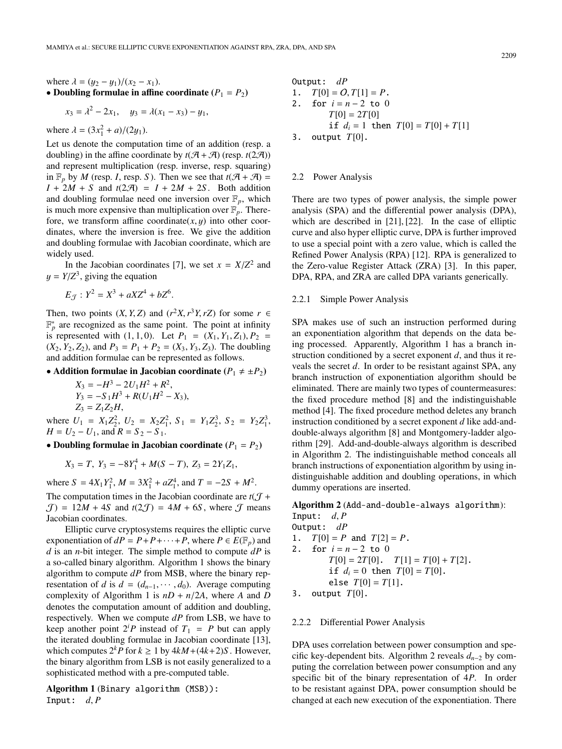where 
$$
\lambda = (y_2 - y_1)/(x_2 - x_1)
$$
.  
\n• Doubling formulae in affine coordinate  $(P_1 = P_2)$ 

$$
x_3 = \lambda^2 - 2x_1, \quad y_3 = \lambda(x_1 - x_3) - y_1,
$$

where  $\lambda = (3x_1^2 + a)/(2y_1)$ .

Let us denote the computation time of an addition (resp. a doubling) in the affine coordinate by  $t(A + A)$  (resp.  $t(2A)$ ) and represent multiplication (resp. inverse, resp. squaring) in  $\mathbb{F}_p$  by *M* (resp. *I*, resp. *S*). Then we see that  $t(\mathcal{A} + \mathcal{A}) =$  $I + 2M + S$  and  $t(2\mathcal{A}) = I + 2M + 2S$ . Both addition and doubling formulae need one inversion over  $\mathbb{F}_p$ , which is much more expensive than multiplication over  $\mathbb{F}_p$ . Therefore, we transform affine coordinate $(x, y)$  into other coordinates, where the inversion is free. We give the addition and doubling formulae with Jacobian coordinate, which are widely used.

In the Jacobian coordinates [7], we set  $x = X/Z^2$  and  $y = Y/Z<sup>3</sup>$ , giving the equation

$$
E_{\mathcal{J}}: Y^2 = X^3 + aXZ^4 + bZ^6.
$$

Then, two points  $(X, Y, Z)$  and  $(r^2 X, r^3 Y, rZ)$  for some  $r \in$  $\mathbb{F}_p^*$  are recognized as the same point. The point at infinity is represented with  $(1, 1, 0)$ . Let  $P_1 = (X_1, Y_1, Z_1), P_2 =$  $(X_2, Y_2, Z_2)$ , and  $P_3 = P_1 + P_2 = (X_3, Y_3, Z_3)$ . The doubling and addition formulae can be represented as follows.

## • **Addition formulae in Jacobian coordinate**  $(P_1 \neq \pm P_2)$

$$
X_3 = -H^3 - 2U_1H^2 + R^2,
$$
  
\n
$$
Y_3 = -S_1H^3 + R(U_1H^2 - X_3),
$$
  
\n
$$
Z_3 = Z_1Z_2H,
$$

where  $U_1 = X_1 Z_2^2$ ,  $U_2 = X_2 Z_1^2$ ,  $S_1 = Y_1 Z_2^3$ ,  $S_2 = Y_2 Z_1^3$ ,  $H = U_2 - U_1$ , and  $R = S_2 - S_1$ .

• **Doubling formulae in Jacobian coordinate**  $(P_1 = P_2)$ 

 $X_3 = T$ ,  $Y_3 = -8Y_1^4 + M(S - T)$ ,  $Z_3 = 2Y_1Z_1$ ,

where  $S = 4X_1Y_1^2$ ,  $M = 3X_1^2 + aZ_1^4$ , and  $T = -2S + M^2$ . The computation times in the Jacobian coordinate are  $t(T +$  $J = 12M + 4S$  and  $t(2J) = 4M + 6S$ , where J means Jacobian coordinates.

Elliptic curve cryptosystems requires the elliptic curve exponentiation of  $dP = P + P + \cdots + P$ , where  $P \in E(\mathbb{F}_p)$  and *d* is an *n*-bit integer. The simple method to compute *dP* is a so-called binary algorithm. Algorithm 1 shows the binary algorithm to compute *dP* from MSB, where the binary representation of *d* is  $d = (d_{n-1}, \dots, d_0)$ . Average computing complexity of Algorithm 1 is  $nD + n/2A$ , where *A* and *D* denotes the computation amount of addition and doubling, respectively. When we compute *dP* from LSB, we have to keep another point  $2^{i}P$  instead of  $T_1 = P$  but can apply the iterated doubling formulae in Jacobian coordinate [13], which computes  $2^k P$  for  $k \ge 1$  by  $4kM + (4k+2)S$ . However, the binary algorithm from LSB is not easily generalized to a sophisticated method with a pre-computed table.

**Algorithm 1** (Binary algorithm (MSB)): Input:  $d, P$ 

Output: 
$$
dP
$$

\n1.  $T[0] = O, T[1] = P$ .

\n2. for  $i = n - 2$  to 0

\n $T[0] = 2T[0]$ 

\nif  $d_i = 1$  then  $T[0] = T[0] + T[1]$ 

\n3. output  $T[0]$ .

#### 2.2 Power Analysis

There are two types of power analysis, the simple power analysis (SPA) and the differential power analysis (DPA), which are described in [21], [22]. In the case of elliptic curve and also hyper elliptic curve, DPA is further improved to use a special point with a zero value, which is called the Refined Power Analysis (RPA) [12]. RPA is generalized to the Zero-value Register Attack (ZRA) [3]. In this paper, DPA, RPA, and ZRA are called DPA variants generically.

## 2.2.1 Simple Power Analysis

SPA makes use of such an instruction performed during an exponentiation algorithm that depends on the data being processed. Apparently, Algorithm 1 has a branch instruction conditioned by a secret exponent *d*, and thus it reveals the secret *d*. In order to be resistant against SPA, any branch instruction of exponentiation algorithm should be eliminated. There are mainly two types of countermeasures: the fixed procedure method [8] and the indistinguishable method [4]. The fixed procedure method deletes any branch instruction conditioned by a secret exponent *d* like add-anddouble-always algorithm [8] and Montgomery-ladder algorithm [29]. Add-and-double-always algorithm is described in Algorithm 2. The indistinguishable method conceals all branch instructions of exponentiation algorithm by using indistinguishable addition and doubling operations, in which dummy operations are inserted.

**Algorithm 2** (Add-and-double-always algorithm):

Input:  $d, P$ Output: *dP* 1.  $T[0] = P$  and  $T[2] = P$ . 2. for  $i = n - 2$  to 0  $T[0] = 2T[0]$ .  $T[1] = T[0] + T[2]$ . if  $d_i = 0$  then  $T[0] = T[0]$ . else  $T[0] = T[1]$ .

3. output *T*[0].

#### 2.2.2 Differential Power Analysis

DPA uses correlation between power consumption and specific key-dependent bits. Algorithm 2 reveals *dn*<sup>−</sup><sup>2</sup> by computing the correlation between power consumption and any specific bit of the binary representation of 4*P*. In order to be resistant against DPA, power consumption should be changed at each new execution of the exponentiation. There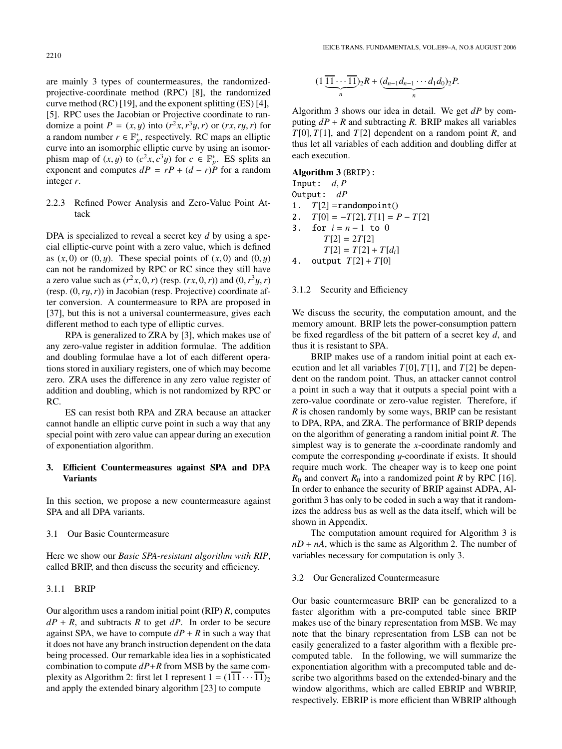are mainly 3 types of countermeasures, the randomizedprojective-coordinate method (RPC) [8], the randomized curve method (RC) [19], and the exponent splitting (ES) [4], [5]. RPC uses the Jacobian or Projective coordinate to randomize a point  $P = (x, y)$  into  $(r^2x, r^3y, r)$  or  $(rx, ry, r)$  for a random number  $r \in \mathbb{F}_p^*$ , respectively. RC maps an elliptic curve into an isomorphic elliptic curve by using an isomorphism map of  $(x, y)$  to  $(c^2x, c^3y)$  for  $c \in \mathbb{F}_p^*$ . ES splits an

## 2.2.3 Refined Power Analysis and Zero-Value Point Attack

exponent and computes  $dP = rP + (d - r)\dot{P}$  for a random

DPA is specialized to reveal a secret key *d* by using a special elliptic-curve point with a zero value, which is defined as  $(x, 0)$  or  $(0, y)$ . These special points of  $(x, 0)$  and  $(0, y)$ can not be randomized by RPC or RC since they still have a zero value such as  $(r^2x, 0, r)$  (resp.  $(rx, 0, r)$ ) and  $(0, r^3y, r)$ (resp. (0,*r*y,*r*)) in Jacobian (resp. Projective) coordinate after conversion. A countermeasure to RPA are proposed in [37], but this is not a universal countermeasure, gives each different method to each type of elliptic curves.

RPA is generalized to ZRA by [3], which makes use of any zero-value register in addition formulae. The addition and doubling formulae have a lot of each different operations stored in auxiliary registers, one of which may become zero. ZRA uses the difference in any zero value register of addition and doubling, which is not randomized by RPC or RC.

ES can resist both RPA and ZRA because an attacker cannot handle an elliptic curve point in such a way that any special point with zero value can appear during an execution of exponentiation algorithm.

## **3. E**ffi**cient Countermeasures against SPA and DPA Variants**

In this section, we propose a new countermeasure against SPA and all DPA variants.

### 3.1 Our Basic Countermeasure

Here we show our *Basic SPA-resistant algorithm with RIP*, called BRIP, and then discuss the security and efficiency.

## 3.1.1 BRIP

Our algorithm uses a random initial point (RIP) *R*, computes  $dP + R$ , and subtracts *R* to get *dP*. In order to be secure against SPA, we have to compute  $dP + R$  in such a way that it does not have any branch instruction dependent on the data being processed. Our remarkable idea lies in a sophisticated combination to compute *dP*+*R* from MSB by the same complexity as Algorithm 2: first let 1 represent  $1 = (1\overline{11} \cdots \overline{11})_2$ and apply the extended binary algorithm [23] to compute

$$
(1 \underbrace{\overline{11} \cdots \overline{11}}_n)_2 R + (\underbrace{d_{n-1}d_{n-1} \cdots d_1d_0}_n)_2 P.
$$

Algorithm 3 shows our idea in detail. We get *dP* by computing  $dP + R$  and subtracting *R*. BRIP makes all variables *T*[0], *T*[1], and *T*[2] dependent on a random point *R*, and thus let all variables of each addition and doubling differ at each execution.

## **Algorithm 3** (BRIP):

Input:  $d, P$ Output: *dP* 1.  $T[2] = \text{randompoint}()$ 2.  $T[0] = -T[2], T[1] = P - T[2]$ 3. for  $i = n - 1$  to 0  $T[2] = 2T[2]$  $T[2] = T[2] + T[d_i]$ 

4. output  $T[2] + T[0]$ 

#### 3.1.2 Security and Efficiency

We discuss the security, the computation amount, and the memory amount. BRIP lets the power-consumption pattern be fixed regardless of the bit pattern of a secret key *d*, and thus it is resistant to SPA.

BRIP makes use of a random initial point at each execution and let all variables *T*[0], *T*[1], and *T*[2] be dependent on the random point. Thus, an attacker cannot control a point in such a way that it outputs a special point with a zero-value coordinate or zero-value register. Therefore, if *R* is chosen randomly by some ways, BRIP can be resistant to DPA, RPA, and ZRA. The performance of BRIP depends on the algorithm of generating a random initial point *R*. The simplest way is to generate the *x*-coordinate randomly and compute the corresponding  $y$ -coordinate if exists. It should require much work. The cheaper way is to keep one point  $R_0$  and convert  $R_0$  into a randomized point  $R$  by RPC [16]. In order to enhance the security of BRIP against ADPA, Algorithm 3 has only to be coded in such a way that it randomizes the address bus as well as the data itself, which will be shown in Appendix.

The computation amount required for Algorithm 3 is  $nD + nA$ , which is the same as Algorithm 2. The number of variables necessary for computation is only 3.

#### 3.2 Our Generalized Countermeasure

Our basic countermeasure BRIP can be generalized to a faster algorithm with a pre-computed table since BRIP makes use of the binary representation from MSB. We may note that the binary representation from LSB can not be easily generalized to a faster algorithm with a flexible precomputed table. In the following, we will summarize the exponentiation algorithm with a precomputed table and describe two algorithms based on the extended-binary and the window algorithms, which are called EBRIP and WBRIP, respectively. EBRIP is more efficient than WBRIP although

integer *r*.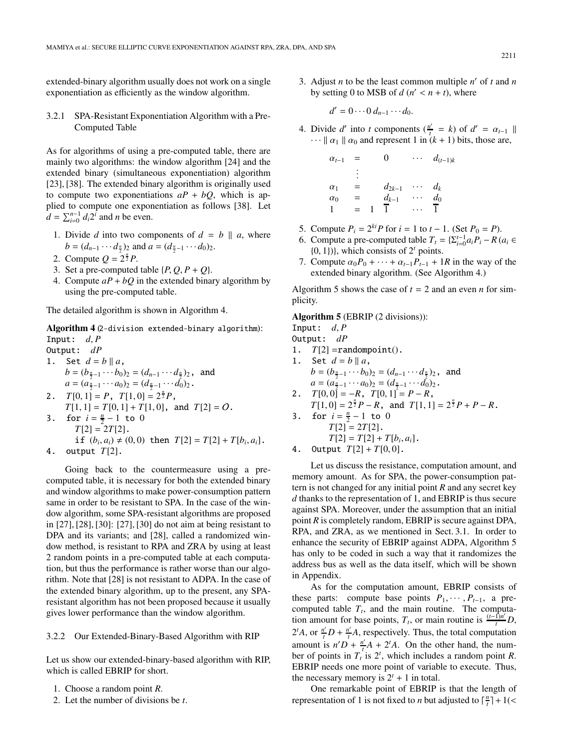extended-binary algorithm usually does not work on a single exponentiation as efficiently as the window algorithm.

3.2.1 SPA-Resistant Exponentiation Algorithm with a Pre-Computed Table

As for algorithms of using a pre-computed table, there are mainly two algorithms: the window algorithm [24] and the extended binary (simultaneous exponentiation) algorithm [23], [38]. The extended binary algorithm is originally used to compute two exponentiations  $aP + bQ$ , which is applied to compute one exponentiation as follows [38]. Let  $d = \sum_{i=0}^{n-1} d_i 2^i$  and *n* be even.

- 1. Divide *d* into two components of  $d = b \parallel a$ , where  $b = (d_{n-1} \cdots d_{\frac{n}{2}})_2$  and  $a = (d_{\frac{n}{2}-1} \cdots d_0)_2$ .
- 2. Compute  $Q = 2^{\frac{n}{2}}P$ .
- 3. Set a pre-computed table  $\{P, Q, P + Q\}$ .
- 4. Compute  $aP + bQ$  in the extended binary algorithm by using the pre-computed table.

The detailed algorithm is shown in Algorithm 4.

**Algorithm 4** (2-division extended-binary algorithm): Input:  $d, P$ 

- Output: *dP*
- 1. Set  $d = b || a$ ,  $b = (b_{\frac{n}{2}-1} \cdots b_0)_2 = (d_{n-1} \cdots d_{\frac{n}{2}})_2$ , and  $a = (a_{\frac{n}{2}-1} \cdots a_0)_2 = (d_{\frac{n}{2}-1} \cdots d_0)_2$ .
- 2.  $T[0, 1] = P$ ,  $T[1, 0] = 2^{\frac{n}{2}}P$ ,  $T[1, 1] = T[0, 1] + T[1, 0]$ , and  $T[2] = O$ .
- 3. for  $i = \frac{n}{2} 1$  to 0  $T[2] = 2T[2]$ . if  $(b_i, a_i) \neq (0, 0)$  then  $T[2] = T[2] + T[b_i, a_i]$ .
- 4. output *T*[2].

Going back to the countermeasure using a precomputed table, it is necessary for both the extended binary and window algorithms to make power-consumption pattern same in order to be resistant to SPA. In the case of the window algorithm, some SPA-resistant algorithms are proposed in [27], [28], [30]: [27], [30] do not aim at being resistant to DPA and its variants; and [28], called a randomized window method, is resistant to RPA and ZRA by using at least 2 random points in a pre-computed table at each computation, but thus the performance is rather worse than our algorithm. Note that [28] is not resistant to ADPA. In the case of the extended binary algorithm, up to the present, any SPAresistant algorithm has not been proposed because it usually gives lower performance than the window algorithm.

## 3.2.2 Our Extended-Binary-Based Algorithm with RIP

Let us show our extended-binary-based algorithm with RIP, which is called EBRIP for short.

- 1. Choose a random point *R*.
- 2. Let the number of divisions be *t*.

3. Adjust *n* to be the least common multiple  $n'$  of *t* and *n* by setting 0 to MSB of  $d (n' < n + t)$ , where

 $d' = 0 \cdots 0 d_{n-1} \cdots d_0.$ 

4. Divide *d'* into *t* components ( $\frac{n'}{t} = k$ ) of  $d' = \alpha_{t-1}$  ||  $\cdots$   $\alpha_1$   $\alpha_0$  and represent 1 in  $(k+1)$  bits, those are,

| $\alpha_{t-1}$ | $=$ | O          | $d_{(t-1)k}$ |
|----------------|-----|------------|--------------|
|                | ٠   |            |              |
| $\alpha_1$     | ═   | $d_{2k-1}$ | $d_k$        |
| $\alpha_0$     | ═   | $d_{k-1}$  | $d_0$        |
|                | $=$ |            |              |

- 5. Compute  $P_i = 2^{ki}P$  for  $i = 1$  to  $t 1$ . (Set  $P_0 = P$ ).
- 6. Compute a pre-computed table  $T_t = \{\sum_{i=0}^{t-1} a_i P_i R \ (a_i \in \mathbb{R}\})$  $\{0, 1\}$ , which consists of  $2<sup>t</sup>$  points.
- 7. Compute  $\alpha_0 P_0 + \cdots + \alpha_{t-1} P_{t-1} + 1R$  in the way of the extended binary algorithm. (See Algorithm 4.)

Algorithm 5 shows the case of  $t = 2$  and an even *n* for simplicity.

#### **Algorithm 5** (EBRIP (2 divisions)):

Input:  $d, P$ 

- Output: *dP*
- 1.  $T[2] = \text{randompoint}()$ .
- 1. Set  $d = b || a$ ,  $b = (b_{\frac{n}{2}-1} \cdots b_0)_2 = (d_{n-1} \cdots d_{\frac{n}{2}})_2$ , and  $a = (a_{\frac{n}{2}-1} \cdots a_0)_2 = (d_{\frac{n}{2}-1} \cdots d_0)_2$ . 2.  $T[0, 0] = -R$ ,  $T[0, 1] = P - R$ ,
- $T[1, 0] = 2^{\frac{n}{2}}P R$ , and  $T[1, 1] = 2^{\frac{n}{2}}P + P R$ .
- 3. for  $i = \frac{n}{2} 1$  to 0  $T[2] = 2T[2]$ .  $T[2] = T[2] + T[b_i, a_i].$
- 4. Output  $T[2] + T[0,0]$ .

Let us discuss the resistance, computation amount, and memory amount. As for SPA, the power-consumption pattern is not changed for any initial point *R* and any secret key *d* thanks to the representation of 1, and EBRIP is thus secure against SPA. Moreover, under the assumption that an initial point *R* is completely random, EBRIP is secure against DPA, RPA, and ZRA, as we mentioned in Sect. 3.1. In order to enhance the security of EBRIP against ADPA, Algorithm 5 has only to be coded in such a way that it randomizes the address bus as well as the data itself, which will be shown in Appendix.

As for the computation amount, EBRIP consists of these parts: compute base points  $P_1, \dots, P_{t-1}$ , a precomputed table  $T_t$ , and the main routine. The computation amount for base points,  $T_t$ , or main routine is  $\frac{(t-1)n^t}{t}D$ ,  $2^{t}A$ , or  $\frac{n'}{t}D + \frac{n'}{t}A$ , respectively. Thus, the total computation amount is  $n'D + \frac{n'}{t}A + 2tA$ . On the other hand, the number of points in  $T_t$  is  $2^t$ , which includes a random point *R*. EBRIP needs one more point of variable to execute. Thus, the necessary memory is  $2^t + 1$  in total.

One remarkable point of EBRIP is that the length of representation of 1 is not fixed to *n* but adjusted to  $\lceil \frac{n}{t} \rceil + 1$  (<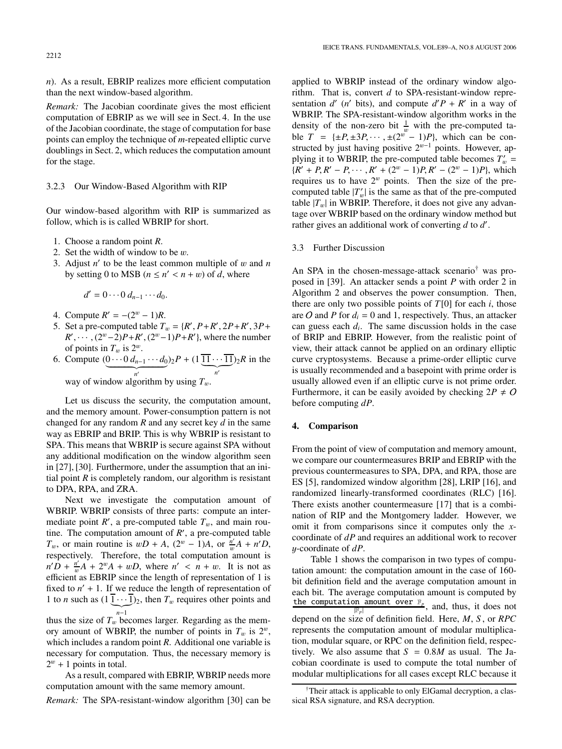*n*). As a result, EBRIP realizes more efficient computation than the next window-based algorithm.

*Remark:* The Jacobian coordinate gives the most efficient computation of EBRIP as we will see in Sect. 4. In the use of the Jacobian coordinate, the stage of computation for base points can employ the technique of *m*-repeated elliptic curve doublings in Sect. 2, which reduces the computation amount for the stage.

#### 3.2.3 Our Window-Based Algorithm with RIP

Our window-based algorithm with RIP is summarized as follow, which is is called WBRIP for short.

- 1. Choose a random point *R*.
- 2. Set the width of window to be w.
- 3. Adjust *n* to be the least common multiple of w and *n* by setting 0 to MSB  $(n \leq n' < n + w)$  of *d*, where

 $d' = 0 \cdots 0 d_{n-1} \cdots d_0.$ 

- 4. Compute  $R' = -(2^w 1)R$ .
- 5. Set a pre-computed table  $T_w = \{R', P+R', 2P+R', 3P+\}$  $R'$ ,  $\cdots$ ,  $(2^w-2)P + R'$ ,  $(2^w-1)P + R'$ , where the number of points in  $T_w$  is  $2^w$ .
- 6. Compute  $\underbrace{(0 \cdots 0 \, d_{n-1} \cdots d_0)}_{n'} 2P + (1 \underbrace{11 \cdots 11}_{n'} )_2R$  in the way of window algorithm by using  $T_w$ .

Let us discuss the security, the computation amount, and the memory amount. Power-consumption pattern is not changed for any random *R* and any secret key *d* in the same way as EBRIP and BRIP. This is why WBRIP is resistant to SPA. This means that WBRIP is secure against SPA without any additional modification on the window algorithm seen in [27], [30]. Furthermore, under the assumption that an initial point  *is completely random, our algorithm is resistant* to DPA, RPA, and ZRA.

Next we investigate the computation amount of WBRIP. WBRIP consists of three parts: compute an intermediate point  $R'$ , a pre-computed table  $T_w$ , and main routine. The computation amount of  $R'$ , a pre-computed table *T*<sub>w</sub>, or main routine is  $wD + A$ ,  $(2^w - 1)A$ , or  $\frac{n'}{w}A + n'D$ , respectively. Therefore, the total computation amount is  $n'D + \frac{n'}{w}A + 2^w A + wD$ , where  $n' < n + w$ . It is not as efficient as EBRIP since the length of representation of 1 is fixed to  $n' + 1$ . If we reduce the length of representation of 1 to *n* such as  $(1 \cdot \cdot \cdot \cdot)_{2}$ , then  $T_w$  requires other points and - *n*−1

thus the size of  $T_w$  becomes larger. Regarding as the memory amount of WBRIP, the number of points in  $T_w$  is  $2^w$ , which includes a random point *R*. Additional one variable is necessary for computation. Thus, the necessary memory is  $2^w + 1$  points in total.

As a result, compared with EBRIP, WBRIP needs more computation amount with the same memory amount.

*Remark:* The SPA-resistant-window algorithm [30] can be

applied to WBRIP instead of the ordinary window algorithm. That is, convert *d* to SPA-resistant-window representation  $d'$  (*n'* bits), and compute  $d'P + R'$  in a way of WBRIP. The SPA-resistant-window algorithm works in the density of the non-zero bit  $\frac{1}{w}$  with the pre-computed table  $T = {\pm P, \pm 3P, \cdots, \pm (2^{w} - 1)P}$ , which can be constructed by just having positive  $2^{w-1}$  points. However, applying it to WBRIP, the pre-computed table becomes  $T_w$  =  ${R' + P, R' - P, \cdots, R' + (2^w - 1)P, R' - (2^w - 1)P}$ , which requires us to have  $2^w$  points. Then the size of the precomputed table  $|T_w|$  is the same as that of the pre-computed table  $|T_w|$  in WBRIP. Therefore, it does not give any advantage over WBRIP based on the ordinary window method but rather gives an additional work of converting *d* to *d* .

#### 3.3 Further Discussion

An SPA in the chosen-message-attack scenario† was proposed in [39]. An attacker sends a point *P* with order 2 in Algorithm 2 and observes the power consumption. Then, there are only two possible points of  $T[0]$  for each *i*, those are O and P for  $d_i = 0$  and 1, respectively. Thus, an attacker can guess each *di*. The same discussion holds in the case of BRIP and EBRIP. However, from the realistic point of view, their attack cannot be applied on an ordinary elliptic curve cryptosystems. Because a prime-order elliptic curve is usually recommended and a basepoint with prime order is usually allowed even if an elliptic curve is not prime order. Furthermore, it can be easily avoided by checking  $2P \neq O$ before computing *dP*.

#### **4. Comparison**

From the point of view of computation and memory amount, we compare our countermeasures BRIP and EBRIP with the previous countermeasures to SPA, DPA, and RPA, those are ES [5], randomized window algorithm [28], LRIP [16], and randomized linearly-transformed coordinates (RLC) [16]. There exists another countermeasure [17] that is a combination of RIP and the Montgomery ladder. However, we omit it from comparisons since it computes only the *x*coordinate of *dP* and requires an additional work to recover y-coordinate of *dP*.

Table 1 shows the comparison in two types of computation amount: the computation amount in the case of 160 bit definition field and the average computation amount in each bit. The average computation amount is computed by the computation amount over  $\mathbb{F}_p$ , and, thus, it does not depend on the size of definition field. Here, *M*, *S* , or *RPC* represents the computation amount of modular multiplication, modular square, or RPC on the definition field, respectively. We also assume that  $S = 0.8M$  as usual. The Jacobian coordinate is used to compute the total number of modular multiplications for all cases except RLC because it

<sup>&</sup>lt;sup>†</sup>Their attack is applicable to only ElGamal decryption, a classical RSA signature, and RSA decryption.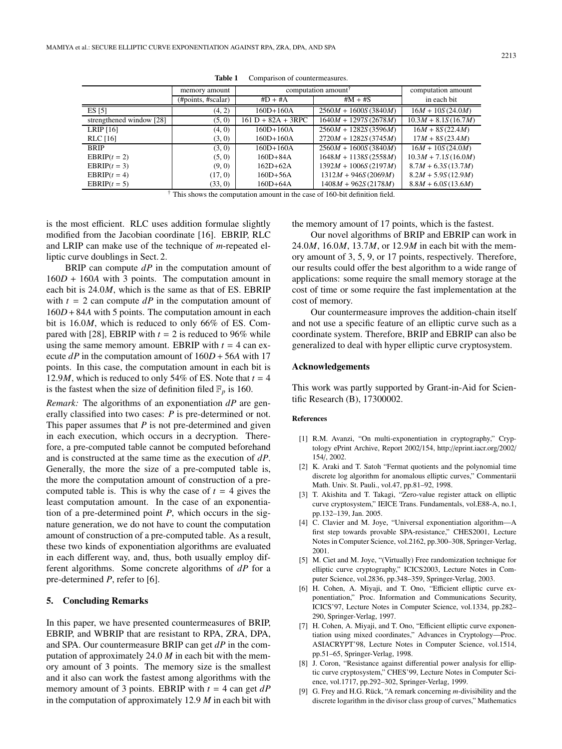|                          | memory amount      | computation amount $\hat{d}$ |                        | computation amount    |
|--------------------------|--------------------|------------------------------|------------------------|-----------------------|
|                          | (#points, #scalar) | $#D + #A$                    | $#M + #S$              | in each bit           |
| ES [5]                   | (4, 2)             | $160D+160A$                  | $2560M + 1600S(3840M)$ | $16M + 10S(24.0M)$    |
| strengthened window [28] | (5, 0)             | $161 D + 82A + 3RPC$         | $1640M + 1297S(2678M)$ | $10.3M + 8.1S(16.7M)$ |
| LRIP $[16]$              | (4, 0)             | $160D+160A$                  | $2560M + 1282S(3596M)$ | $16M + 8S(22.4M)$     |
| <b>RLC</b> [16]          | (3, 0)             | $160D+160A$                  | $2720M + 1282S(3745M)$ | $17M + 8S(23.4M)$     |
| <b>BRIP</b>              | (3, 0)             | $160D+160A$                  | $2560M + 1600S(3840M)$ | $16M + 10S(24.0M)$    |
| $EBRIP(t = 2)$           | (5, 0)             | $160D + 84A$                 | $1648M + 1138S(2558M)$ | $10.3M + 7.1S(16.0M)$ |
| $EBRIP(t = 3)$           | (9, 0)             | $162D+62A$                   | $1392M + 1006S(2197M)$ | $8.7M + 6.3S(13.7M)$  |
| $EBRIP(t = 4)$           | (17, 0)            | $160D+56A$                   | $1312M + 946S(2069M)$  | $8.2M + 5.9S(12.9M)$  |
| $EBRIP(t = 5)$           | (33, 0)            | $160D+64A$                   | $1408M + 962S(2178M)$  | $8.8M + 6.0S(13.6M)$  |

**Table 1** Comparison of countermeasures.

† This shows the computation amount in the case of 160-bit definition field.

is the most efficient. RLC uses addition formulae slightly modified from the Jacobian coordinate [16]. EBRIP, RLC and LRIP can make use of the technique of *m*-repeated elliptic curve doublings in Sect. 2.

BRIP can compute *dP* in the computation amount of 160*D* + 160*A* with 3 points. The computation amount in each bit is 24.0*M*, which is the same as that of ES. EBRIP with  $t = 2$  can compute  $dP$  in the computation amount of 160*D* +84*A* with 5 points. The computation amount in each bit is 16.0*M*, which is reduced to only 66% of ES. Compared with [28], EBRIP with  $t = 2$  is reduced to 96% while using the same memory amount. EBRIP with  $t = 4$  can execute  $dP$  in the computation amount of  $160D + 56A$  with 17 points. In this case, the computation amount in each bit is 12.9*M*, which is reduced to only 54% of ES. Note that  $t = 4$ is the fastest when the size of definition filed  $\mathbb{F}_p$  is 160.

*Remark:* The algorithms of an exponentiation *dP* are generally classified into two cases: *P* is pre-determined or not. This paper assumes that *P* is not pre-determined and given in each execution, which occurs in a decryption. Therefore, a pre-computed table cannot be computed beforehand and is constructed at the same time as the execution of *dP*. Generally, the more the size of a pre-computed table is, the more the computation amount of construction of a precomputed table is. This is why the case of  $t = 4$  gives the least computation amount. In the case of an exponentiation of a pre-determined point *P*, which occurs in the signature generation, we do not have to count the computation amount of construction of a pre-computed table. As a result, these two kinds of exponentiation algorithms are evaluated in each different way, and, thus, both usually employ different algorithms. Some concrete algorithms of *dP* for a pre-determined *P*, refer to [6].

#### **5. Concluding Remarks**

In this paper, we have presented countermeasures of BRIP, EBRIP, and WBRIP that are resistant to RPA, ZRA, DPA, and SPA. Our countermeasure BRIP can get *dP* in the computation of approximately 24.0 *M* in each bit with the memory amount of 3 points. The memory size is the smallest and it also can work the fastest among algorithms with the memory amount of 3 points. EBRIP with *t* = 4 can get *dP* in the computation of approximately 12.9 *M* in each bit with

the memory amount of 17 points, which is the fastest.

Our novel algorithms of BRIP and EBRIP can work in 24.0*M*, 16.0*M*, 13.7*M*, or 12.9*M* in each bit with the memory amount of 3, 5, 9, or 17 points, respectively. Therefore, our results could offer the best algorithm to a wide range of applications: some require the small memory storage at the cost of time or some require the fast implementation at the cost of memory.

Our countermeasure improves the addition-chain itself and not use a specific feature of an elliptic curve such as a coordinate system. Therefore, BRIP and EBRIP can also be generalized to deal with hyper elliptic curve cryptosystem.

## **Acknowledgements**

This work was partly supported by Grant-in-Aid for Scientific Research (B), 17300002.

#### **References**

- [1] R.M. Avanzi, "On multi-exponentiation in cryptography," Cryptology ePrint Archive, Report 2002/154, http://eprint.iacr.org/2002/ 154/, 2002.
- [2] K. Araki and T. Satoh "Fermat quotients and the polynomial time discrete log algorithm for anomalous elliptic curves," Commentarii Math. Univ. St. Pauli., vol.47, pp.81–92, 1998.
- [3] T. Akishita and T. Takagi, "Zero-value register attack on elliptic curve cryptosystem," IEICE Trans. Fundamentals, vol.E88-A, no.1, pp.132–139, Jan. 2005.
- [4] C. Clavier and M. Joye, "Universal exponentiation algorithm—A first step towards provable SPA-resistance," CHES2001, Lecture Notes in Computer Science, vol.2162, pp.300–308, Springer-Verlag, 2001.
- [5] M. Ciet and M. Joye, "(Virtually) Free randomization technique for elliptic curve cryptography," ICICS2003, Lecture Notes in Computer Science, vol.2836, pp.348–359, Springer-Verlag, 2003.
- [6] H. Cohen, A. Miyaji, and T. Ono, "Efficient elliptic curve exponentiation," Proc. Information and Communications Security, ICICS'97, Lecture Notes in Computer Science, vol.1334, pp.282– 290, Springer-Verlag, 1997.
- [7] H. Cohen, A. Miyaji, and T. Ono, "Efficient elliptic curve exponentiation using mixed coordinates," Advances in Cryptology—Proc. ASIACRYPT'98, Lecture Notes in Computer Science, vol.1514, pp.51–65, Springer-Verlag, 1998.
- [8] J. Coron, "Resistance against differential power analysis for elliptic curve cryptosystem," CHES'99, Lecture Notes in Computer Science, vol.1717, pp.292–302, Springer-Verlag, 1999.
- [9] G. Frey and H.G. Rück, "A remark concerning m-divisibility and the discrete logarithm in the divisor class group of curves," Mathematics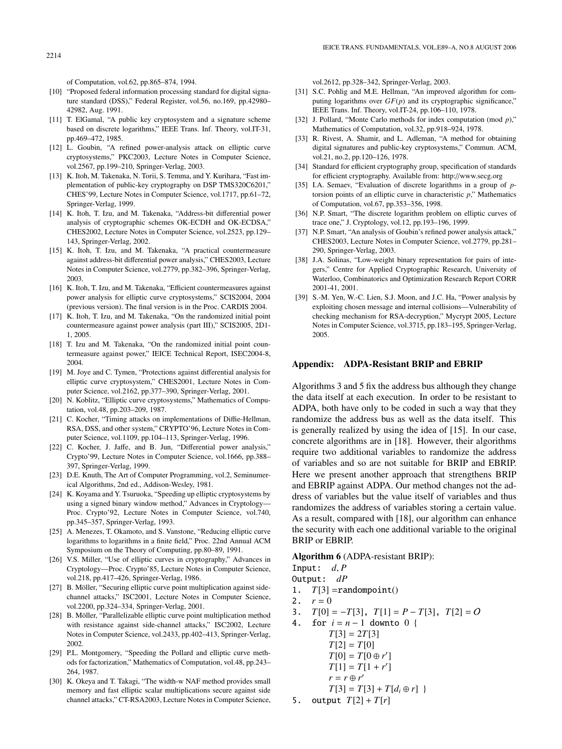- [10] "Proposed federal information processing standard for digital signature standard (DSS)," Federal Register, vol.56, no.169, pp.42980– 42982, Aug. 1991.
- [11] T. ElGamal, "A public key cryptosystem and a signature scheme based on discrete logarithms," IEEE Trans. Inf. Theory, vol.IT-31, pp.469–472, 1985.
- [12] L. Goubin, "A refined power-analysis attack on elliptic curve cryptosystems," PKC2003, Lecture Notes in Computer Science, vol.2567, pp.199–210, Springer-Verlag, 2003.
- [13] K. Itoh, M. Takenaka, N. Torii, S. Temma, and Y. Kurihara, "Fast implementation of public-key cryptography on DSP TMS320C6201," CHES'99, Lecture Notes in Computer Science, vol.1717, pp.61–72, Springer-Verlag, 1999.
- [14] K. Itoh, T. Izu, and M. Takenaka, "Address-bit differential power analysis of cryptographic schemes OK-ECDH and OK-ECDSA," CHES2002, Lecture Notes in Computer Science, vol.2523, pp.129– 143, Springer-Verlag, 2002.
- [15] K. Itoh, T. Izu, and M. Takenaka, "A practical countermeasure against address-bit differential power analysis," CHES2003, Lecture Notes in Computer Science, vol.2779, pp.382–396, Springer-Verlag, 2003.
- [16] K. Itoh, T. Izu, and M. Takenaka, "Efficient countermeasures against power analysis for elliptic curve cryptosystems," SCIS2004, 2004 (previous version). The final version is in the Proc. CARDIS 2004.
- [17] K. Itoh, T. Izu, and M. Takenaka, "On the randomized initial point countermeasure against power analysis (part III)," SCIS2005, 2D1- 1, 2005.
- [18] T. Izu and M. Takenaka, "On the randomized initial point countermeasure against power," IEICE Technical Report, ISEC2004-8, 2004.
- [19] M. Joye and C. Tymen, "Protections against differential analysis for elliptic curve cryptosystem," CHES2001, Lecture Notes in Computer Science, vol.2162, pp.377–390, Springer-Verlag, 2001.
- [20] N. Koblitz, "Elliptic curve cryptosystems," Mathematics of Computation, vol.48, pp.203–209, 1987.
- [21] C. Kocher, "Timing attacks on implementations of Diffie-Hellman, RSA, DSS, and other system," CRYPTO'96, Lecture Notes in Computer Science, vol.1109, pp.104–113, Springer-Verlag, 1996.
- [22] C. Kocher, J. Jaffe, and B. Jun, "Differential power analysis," Crypto'99, Lecture Notes in Computer Science, vol.1666, pp.388– 397, Springer-Verlag, 1999.
- [23] D.E. Knuth, The Art of Computer Programming, vol.2, Seminumerical Algorithms, 2nd ed., Addison-Wesley, 1981.
- [24] K. Koyama and Y. Tsuruoka, "Speeding up elliptic cryptosystems by using a signed binary window method," Advances in Cryptology— Proc. Crypto'92, Lecture Notes in Computer Science, vol.740, pp.345–357, Springer-Verlag, 1993.
- [25] A. Menezes, T. Okamoto, and S. Vanstone, "Reducing elliptic curve logarithms to logarithms in a finite field," Proc. 22nd Annual ACM Symposium on the Theory of Computing, pp.80–89, 1991.
- [26] V.S. Miller, "Use of elliptic curves in cryptography," Advances in Cryptology—Proc. Crypto'85, Lecture Notes in Computer Science, vol.218, pp.417–426, Springer-Verlag, 1986.
- [27] B. Möller, "Securing elliptic curve point multiplication against sidechannel attacks," ISC2001, Lecture Notes in Computer Science, vol.2200, pp.324–334, Springer-Verlag, 2001.
- [28] B. Möller, "Parallelizable elliptic curve point multiplication method with resistance against side-channel attacks," ISC2002, Lecture Notes in Computer Science, vol.2433, pp.402–413, Springer-Verlag, 2002.
- [29] P.L. Montgomery, "Speeding the Pollard and elliptic curve methods for factorization," Mathematics of Computation, vol.48, pp.243– 264, 1987.
- [30] K. Okeya and T. Takagi, "The width-w NAF method provides small memory and fast elliptic scalar multiplications secure against side channel attacks," CT-RSA2003, Lecture Notes in Computer Science,

vol.2612, pp.328–342, Springer-Verlag, 2003.

- [31] S.C. Pohlig and M.E. Hellman, "An improved algorithm for computing logarithms over *GF*(*p*) and its cryptographic significance," IEEE Trans. Inf. Theory, vol.IT-24, pp.106–110, 1978.
- [32] J. Pollard, "Monte Carlo methods for index computation (mod *p*)," Mathematics of Computation, vol.32, pp.918–924, 1978.
- [33] R. Rivest, A. Shamir, and L. Adleman, "A method for obtaining digital signatures and public-key cryptosystems," Commun. ACM, vol.21, no.2, pp.120–126, 1978.
- [34] Standard for efficient cryptography group, specification of standards for efficient cryptography. Available from: http://www.secg.org
- [35] I.A. Semaev, "Evaluation of discrete logarithms in a group of *p*torsion points of an elliptic curve in characteristic *p*," Mathematics of Computation, vol.67, pp.353–356, 1998.
- [36] N.P. Smart, "The discrete logarithm problem on elliptic curves of trace one," J. Cryptology, vol.12, pp.193–196, 1999.
- [37] N.P. Smart, "An analysis of Goubin's refined power analysis attack," CHES2003, Lecture Notes in Computer Science, vol.2779, pp.281– 290, Springer-Verlag, 2003.
- [38] J.A. Solinas, "Low-weight binary representation for pairs of integers," Centre for Applied Cryptographic Research, University of Waterloo, Combinatorics and Optimization Research Report CORR 2001-41, 2001.
- [39] S.-M. Yen, W.-C. Lien, S.J. Moon, and J.C. Ha, "Power analysis by exploiting chosen message and internal collisions—Vulnerability of checking mechanism for RSA-decryption," Mycrypt 2005, Lecture Notes in Computer Science, vol.3715, pp.183–195, Springer-Verlag, 2005.

#### **Appendix: ADPA-Resistant BRIP and EBRIP**

Algorithms 3 and 5 fix the address bus although they change the data itself at each execution. In order to be resistant to ADPA, both have only to be coded in such a way that they randomize the address bus as well as the data itself. This is generally realized by using the idea of [15]. In our case, concrete algorithms are in [18]. However, their algorithms require two additional variables to randomize the address of variables and so are not suitable for BRIP and EBRIP. Here we present another approach that strengthens BRIP and EBRIP against ADPA. Our method changes not the address of variables but the value itself of variables and thus randomizes the address of variables storing a certain value. As a result, compared with [18], our algorithm can enhance the security with each one additional variable to the original BRIP or EBRIP.

#### **Algorithm 6** (ADPA-resistant BRIP):

Input:  $d, P$ 

Output: *dP*

- 1.  $T[3]$  =randompoint()
- 2.  $r = 0$
- 3.  $T[0] = -T[3]$ ,  $T[1] = P T[3]$ ,  $T[2] = O$
- 4. for *i* = *n* − 1 downto 0 { *T*[3] = 2*T*[3]
	- $T[2] = T[0]$  $T[0] = T[0 \oplus r']$  $T[1] = T[1 + r']$  $r = r \oplus r'$  $T[3] = T[3] + T[d_i \oplus r]$
- 5. output  $T[2] + T[r]$